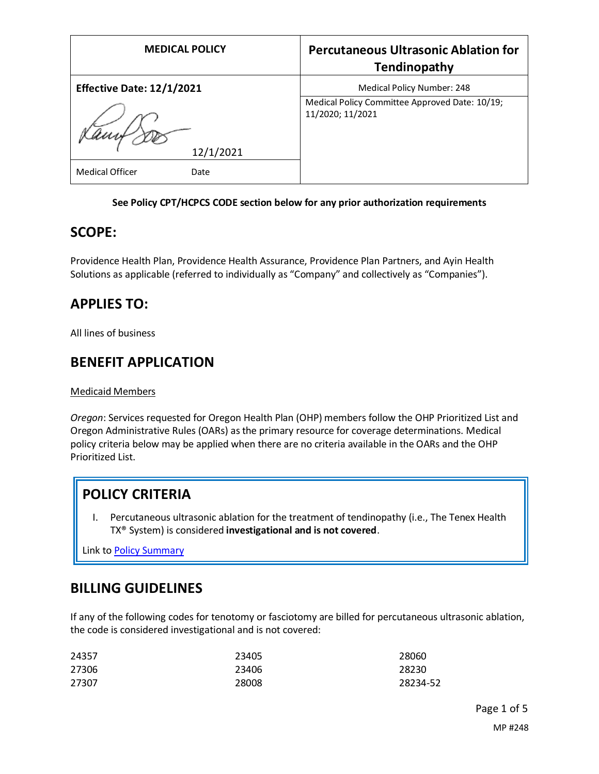| <b>MEDICAL POLICY</b>            | <b>Percutaneous Ultrasonic Ablation for</b><br>Tendinopathy        |
|----------------------------------|--------------------------------------------------------------------|
| <b>Effective Date: 12/1/2021</b> | Medical Policy Number: 248                                         |
|                                  | Medical Policy Committee Approved Date: 10/19;<br>11/2020; 11/2021 |
| 12/1/2021                        |                                                                    |
| <b>Medical Officer</b><br>Date   |                                                                    |

### **See Policy CPT/HCPCS CODE section below for any prior authorization requirements**

### **SCOPE:**

Providence Health Plan, Providence Health Assurance, Providence Plan Partners, and Ayin Health Solutions as applicable (referred to individually as "Company" and collectively as "Companies").

# **APPLIES TO:**

All lines of business

## **BENEFIT APPLICATION**

#### Medicaid Members

*Oregon*: Services requested for Oregon Health Plan (OHP) members follow the OHP Prioritized List and Oregon Administrative Rules (OARs) as the primary resource for coverage determinations. Medical policy criteria below may be applied when there are no criteria available in the OARs and the OHP Prioritized List.

# **POLICY CRITERIA**

I. Percutaneous ultrasonic ablation for the treatment of tendinopathy (i.e., The Tenex Health TX® System) is considered **investigational and is not covered**.

Link t[o Policy Summary](#page-3-0)

# **BILLING GUIDELINES**

If any of the following codes for tenotomy or fasciotomy are billed for percutaneous ultrasonic ablation, the code is considered investigational and is not covered:

| 24357 | 23405 | 28060    |
|-------|-------|----------|
| 27306 | 23406 | 28230    |
| 27307 | 28008 | 28234-52 |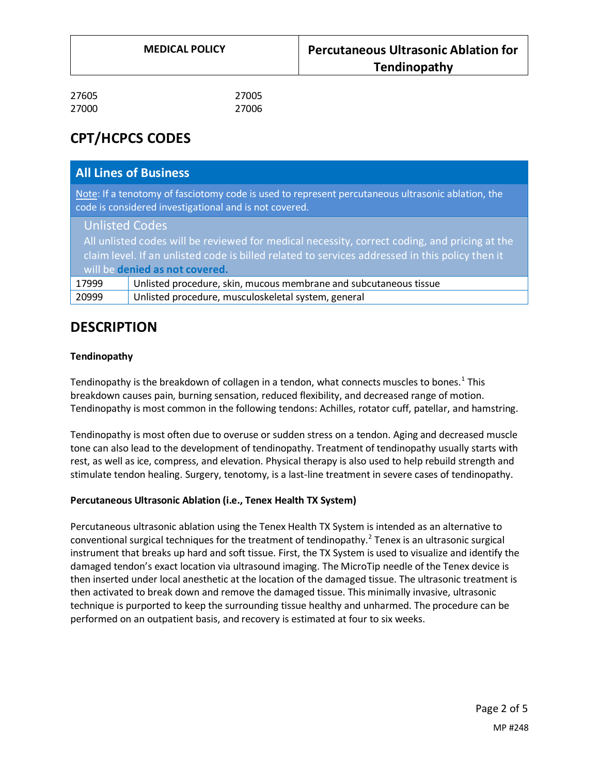| 27605 | 27005 |
|-------|-------|
| 27000 | 27006 |

# **CPT/HCPCS CODES**

|                                                                                                                                                                                                                                                             | <b>All Lines of Business</b>                                      |
|-------------------------------------------------------------------------------------------------------------------------------------------------------------------------------------------------------------------------------------------------------------|-------------------------------------------------------------------|
| Note: If a tenotomy of fasciotomy code is used to represent percutaneous ultrasonic ablation, the<br>code is considered investigational and is not covered.                                                                                                 |                                                                   |
| <b>Unlisted Codes</b><br>All unlisted codes will be reviewed for medical necessity, correct coding, and pricing at the<br>claim level. If an unlisted code is billed related to services addressed in this policy then it<br>will be denied as not covered. |                                                                   |
| 17999                                                                                                                                                                                                                                                       | Unlisted procedure, skin, mucous membrane and subcutaneous tissue |
| 20999                                                                                                                                                                                                                                                       | Unlisted procedure, musculoskeletal system, general               |

# **DESCRIPTION**

### **Tendinopathy**

Tendinopathy is the breakdown of collagen in a tendon, what connects muscles to bones.<sup>1</sup> This breakdown causes pain, burning sensation, reduced flexibility, and decreased range of motion. Tendinopathy is most common in the following tendons: Achilles, rotator cuff, patellar, and hamstring.

Tendinopathy is most often due to overuse or sudden stress on a tendon. Aging and decreased muscle tone can also lead to the development of tendinopathy. Treatment of tendinopathy usually starts with rest, as well as ice, compress, and elevation. Physical therapy is also used to help rebuild strength and stimulate tendon healing. Surgery, tenotomy, is a last-line treatment in severe cases of tendinopathy.

### **Percutaneous Ultrasonic Ablation (i.e., Tenex Health TX System)**

Percutaneous ultrasonic ablation using the Tenex Health TX System is intended as an alternative to conventional surgical techniques for the treatment of tendinopathy.<sup>2</sup> Tenex is an ultrasonic surgical instrument that breaks up hard and soft tissue. First, the TX System is used to visualize and identify the damaged tendon's exact location via ultrasound imaging. The MicroTip needle of the Tenex device is then inserted under local anesthetic at the location of the damaged tissue. The ultrasonic treatment is then activated to break down and remove the damaged tissue. This minimally invasive, ultrasonic technique is purported to keep the surrounding tissue healthy and unharmed. The procedure can be performed on an outpatient basis, and recovery is estimated at four to six weeks.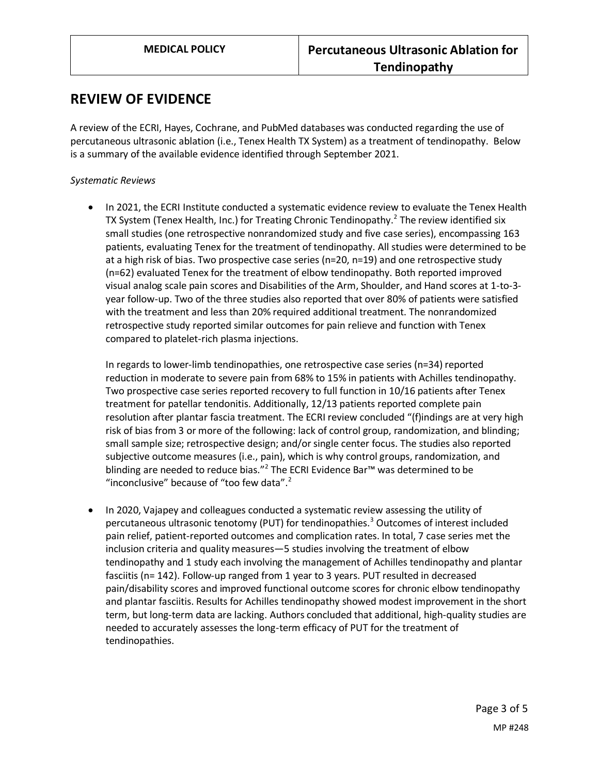### **REVIEW OF EVIDENCE**

A review of the ECRI, Hayes, Cochrane, and PubMed databases was conducted regarding the use of percutaneous ultrasonic ablation (i.e., Tenex Health TX System) as a treatment of tendinopathy. Below is a summary of the available evidence identified through September 2021.

### *Systematic Reviews*

• In 2021, the ECRI Institute conducted a systematic evidence review to evaluate the Tenex Health TX System (Tenex Health, Inc.) for Treating Chronic Tendinopathy.<sup>2</sup> The review identified six small studies (one retrospective nonrandomized study and five case series), encompassing 163 patients, evaluating Tenex for the treatment of tendinopathy. All studies were determined to be at a high risk of bias. Two prospective case series (n=20, n=19) and one retrospective study (n=62) evaluated Tenex for the treatment of elbow tendinopathy. Both reported improved visual analog scale pain scores and Disabilities of the Arm, Shoulder, and Hand scores at 1-to-3 year follow-up. Two of the three studies also reported that over 80% of patients were satisfied with the treatment and less than 20% required additional treatment. The nonrandomized retrospective study reported similar outcomes for pain relieve and function with Tenex compared to platelet-rich plasma injections.

In regards to lower-limb tendinopathies, one retrospective case series (n=34) reported reduction in moderate to severe pain from 68% to 15% in patients with Achilles tendinopathy. Two prospective case series reported recovery to full function in 10/16 patients after Tenex treatment for patellar tendonitis. Additionally, 12/13 patients reported complete pain resolution after plantar fascia treatment. The ECRI review concluded "(f)indings are at very high risk of bias from 3 or more of the following: lack of control group, randomization, and blinding; small sample size; retrospective design; and/or single center focus. The studies also reported subjective outcome measures (i.e., pain), which is why control groups, randomization, and blinding are needed to reduce bias."<sup>2</sup> The ECRI Evidence Bar™ was determined to be "inconclusive" because of "too few data".<sup>2</sup>

• In 2020, Vajapey and colleagues conducted a systematic review assessing the utility of percutaneous ultrasonic tenotomy (PUT) for tendinopathies.<sup>3</sup> Outcomes of interest included pain relief, patient-reported outcomes and complication rates. In total, 7 case series met the inclusion criteria and quality measures—5 studies involving the treatment of elbow tendinopathy and 1 study each involving the management of Achilles tendinopathy and plantar fasciitis (n= 142). Follow-up ranged from 1 year to 3 years. PUT resulted in decreased pain/disability scores and improved functional outcome scores for chronic elbow tendinopathy and plantar fasciitis. Results for Achilles tendinopathy showed modest improvement in the short term, but long-term data are lacking. Authors concluded that additional, high-quality studies are needed to accurately assesses the long-term efficacy of PUT for the treatment of tendinopathies.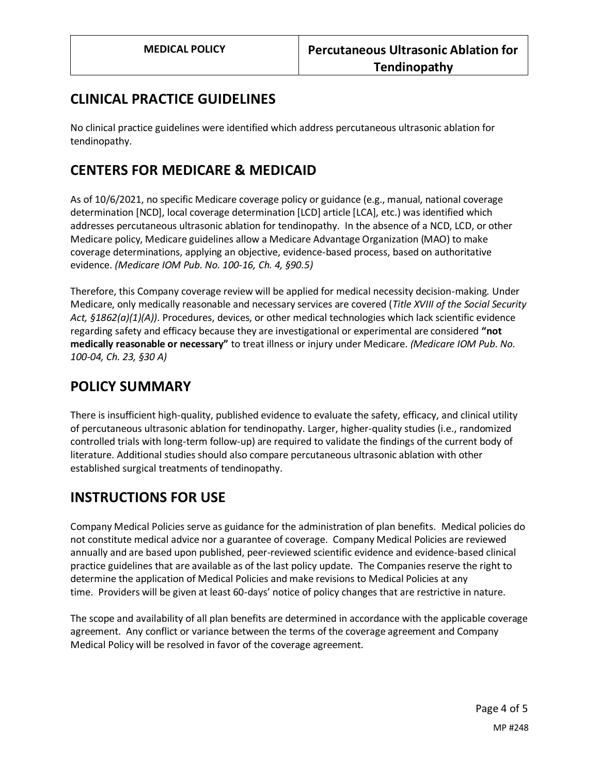# **CLINICAL PRACTICE GUIDELINES**

No clinical practice guidelines were identified which address percutaneous ultrasonic ablation for tendinopathy.

# **CENTERS FOR MEDICARE & MEDICAID**

As of 10/6/2021, no specific Medicare coverage policy or guidance (e.g., manual, national coverage determination [NCD], local coverage determination [LCD] article [LCA], etc.) was identified which addresses percutaneous ultrasonic ablation for tendinopathy. In the absence of a NCD, LCD, or other Medicare policy, Medicare guidelines allow a Medicare Advantage Organization (MAO) to make coverage determinations, applying an objective, evidence-based process, based on authoritative evidence. *(Medicare IOM Pub. No. 100-16, Ch. 4, §90.5)*

Therefore, this Company coverage review will be applied for medical necessity decision-making*.* Under Medicare, only medically reasonable and necessary services are covered (*Title XVIII of the Social Security Act, §1862(a)(1)(A))*. Procedures, devices, or other medical technologies which lack scientific evidence regarding safety and efficacy because they are investigational or experimental are considered **"not medically reasonable or necessary"** to treat illness or injury under Medicare. *(Medicare IOM Pub. No. 100-04, Ch. 23, §30 A)*

# <span id="page-3-0"></span>**POLICY SUMMARY**

There is insufficient high-quality, published evidence to evaluate the safety, efficacy, and clinical utility of percutaneous ultrasonic ablation for tendinopathy. Larger, higher-quality studies (i.e., randomized controlled trials with long-term follow-up) are required to validate the findings of the current body of literature. Additional studies should also compare percutaneous ultrasonic ablation with other established surgical treatments of tendinopathy.

# **INSTRUCTIONS FOR USE**

Company Medical Policies serve as guidance for the administration of plan benefits. Medical policies do not constitute medical advice nor a guarantee of coverage. Company Medical Policies are reviewed annually and are based upon published, peer-reviewed scientific evidence and evidence-based clinical practice guidelines that are available as of the last policy update. The Companies reserve the right to determine the application of Medical Policies and make revisions to Medical Policies at any time. Providers will be given at least 60-days' notice of policy changes that are restrictive in nature.

The scope and availability of all plan benefits are determined in accordance with the applicable coverage agreement. Any conflict or variance between the terms of the coverage agreement and Company Medical Policy will be resolved in favor of the coverage agreement.